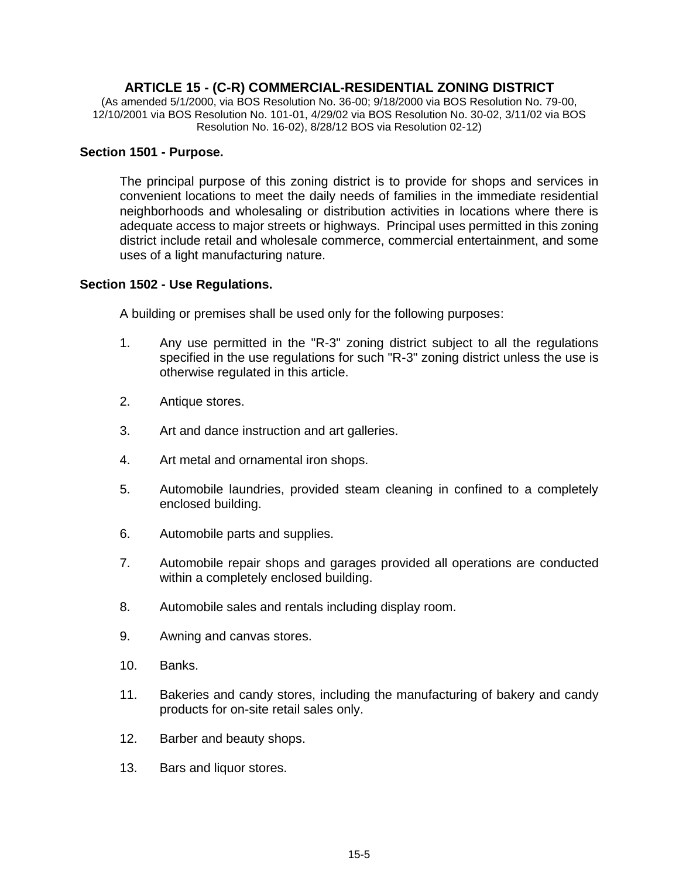# **ARTICLE 15 - (C-R) COMMERCIAL-RESIDENTIAL ZONING DISTRICT**

(As amended 5/1/2000, via BOS Resolution No. 36-00; 9/18/2000 via BOS Resolution No. 79-00, 12/10/2001 via BOS Resolution No. 101-01, 4/29/02 via BOS Resolution No. 30-02, 3/11/02 via BOS Resolution No. 16-02), 8/28/12 BOS via Resolution 02-12)

#### **Section 1501 - Purpose.**

The principal purpose of this zoning district is to provide for shops and services in convenient locations to meet the daily needs of families in the immediate residential neighborhoods and wholesaling or distribution activities in locations where there is adequate access to major streets or highways. Principal uses permitted in this zoning district include retail and wholesale commerce, commercial entertainment, and some uses of a light manufacturing nature.

#### **Section 1502 - Use Regulations.**

A building or premises shall be used only for the following purposes:

- 1. Any use permitted in the "R-3" zoning district subject to all the regulations specified in the use regulations for such "R-3" zoning district unless the use is otherwise regulated in this article.
- 2. Antique stores.
- 3. Art and dance instruction and art galleries.
- 4. Art metal and ornamental iron shops.
- 5. Automobile laundries, provided steam cleaning in confined to a completely enclosed building.
- 6. Automobile parts and supplies.
- 7. Automobile repair shops and garages provided all operations are conducted within a completely enclosed building.
- 8. Automobile sales and rentals including display room.
- 9. Awning and canvas stores.
- 10. Banks.
- 11. Bakeries and candy stores, including the manufacturing of bakery and candy products for on-site retail sales only.
- 12. Barber and beauty shops.
- 13. Bars and liquor stores.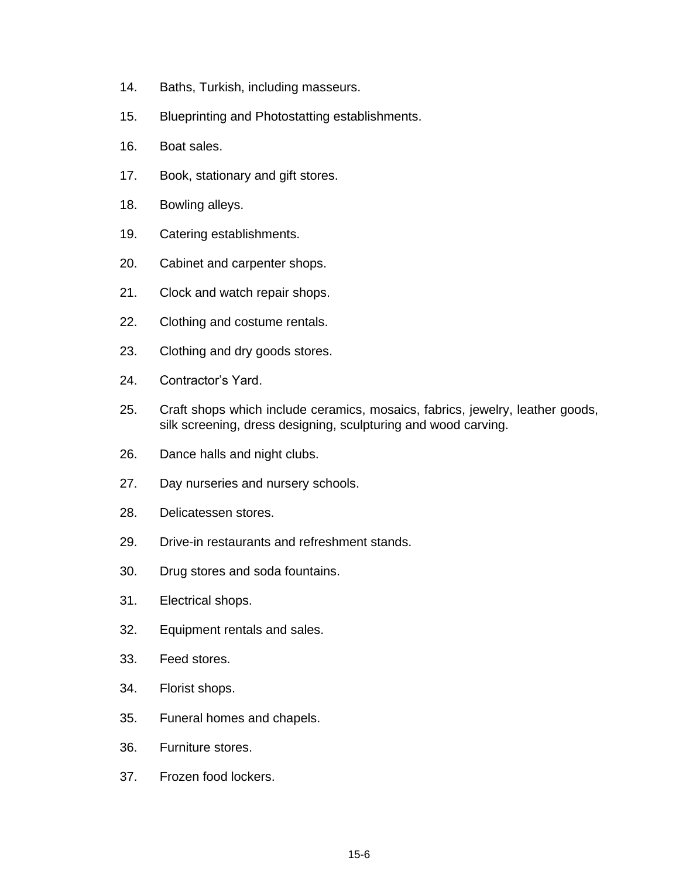- 14. Baths, Turkish, including masseurs.
- 15. Blueprinting and Photostatting establishments.
- 16. Boat sales.
- 17. Book, stationary and gift stores.
- 18. Bowling alleys.
- 19. Catering establishments.
- 20. Cabinet and carpenter shops.
- 21. Clock and watch repair shops.
- 22. Clothing and costume rentals.
- 23. Clothing and dry goods stores.
- 24. Contractor's Yard.
- 25. Craft shops which include ceramics, mosaics, fabrics, jewelry, leather goods, silk screening, dress designing, sculpturing and wood carving.
- 26. Dance halls and night clubs.
- 27. Day nurseries and nursery schools.
- 28. Delicatessen stores.
- 29. Drive-in restaurants and refreshment stands.
- 30. Drug stores and soda fountains.
- 31. Electrical shops.
- 32. Equipment rentals and sales.
- 33. Feed stores.
- 34. Florist shops.
- 35. Funeral homes and chapels.
- 36. Furniture stores.
- 37. Frozen food lockers.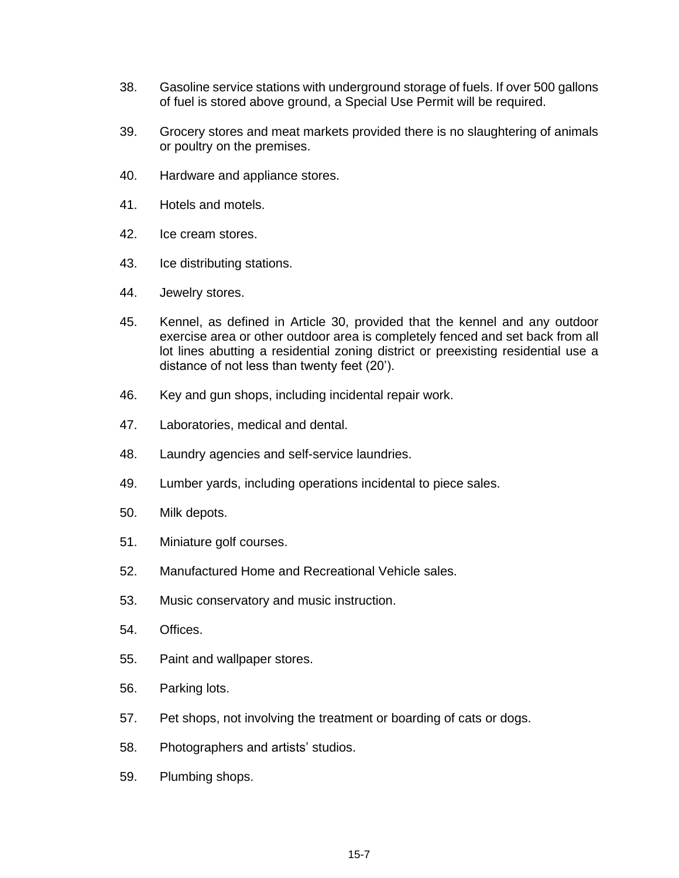- 38. Gasoline service stations with underground storage of fuels. If over 500 gallons of fuel is stored above ground, a Special Use Permit will be required.
- 39. Grocery stores and meat markets provided there is no slaughtering of animals or poultry on the premises.
- 40. Hardware and appliance stores.
- 41. Hotels and motels.
- 42. Ice cream stores.
- 43. Ice distributing stations.
- 44. Jewelry stores.
- 45. Kennel, as defined in Article 30, provided that the kennel and any outdoor exercise area or other outdoor area is completely fenced and set back from all lot lines abutting a residential zoning district or preexisting residential use a distance of not less than twenty feet (20').
- 46. Key and gun shops, including incidental repair work.
- 47. Laboratories, medical and dental.
- 48. Laundry agencies and self-service laundries.
- 49. Lumber yards, including operations incidental to piece sales.
- 50. Milk depots.
- 51. Miniature golf courses.
- 52. Manufactured Home and Recreational Vehicle sales.
- 53. Music conservatory and music instruction.
- 54. Offices.
- 55. Paint and wallpaper stores.
- 56. Parking lots.
- 57. Pet shops, not involving the treatment or boarding of cats or dogs.
- 58. Photographers and artists' studios.
- 59. Plumbing shops.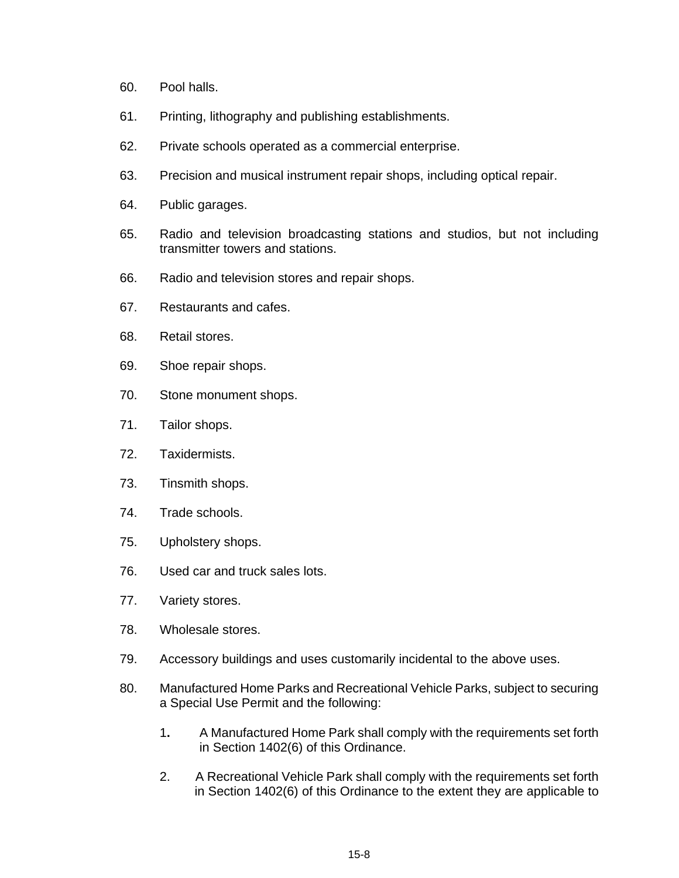- 60. Pool halls.
- 61. Printing, lithography and publishing establishments.
- 62. Private schools operated as a commercial enterprise.
- 63. Precision and musical instrument repair shops, including optical repair.
- 64. Public garages.
- 65. Radio and television broadcasting stations and studios, but not including transmitter towers and stations.
- 66. Radio and television stores and repair shops.
- 67. Restaurants and cafes.
- 68. Retail stores.
- 69. Shoe repair shops.
- 70. Stone monument shops.
- 71. Tailor shops.
- 72. Taxidermists.
- 73. Tinsmith shops.
- 74. Trade schools.
- 75. Upholstery shops.
- 76. Used car and truck sales lots.
- 77. Variety stores.
- 78. Wholesale stores.
- 79. Accessory buildings and uses customarily incidental to the above uses.
- 80. Manufactured Home Parks and Recreational Vehicle Parks, subject to securing a Special Use Permit and the following:
	- 1**.** A Manufactured Home Park shall comply with the requirements set forth in Section 1402(6) of this Ordinance.
	- 2. A Recreational Vehicle Park shall comply with the requirements set forth in Section 1402(6) of this Ordinance to the extent they are applicable to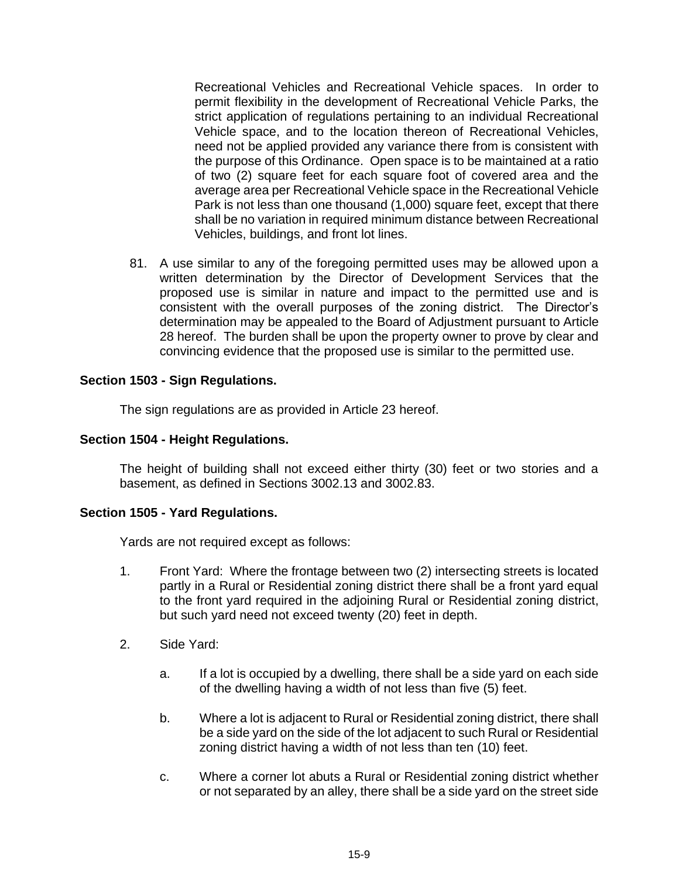Recreational Vehicles and Recreational Vehicle spaces. In order to permit flexibility in the development of Recreational Vehicle Parks, the strict application of regulations pertaining to an individual Recreational Vehicle space, and to the location thereon of Recreational Vehicles, need not be applied provided any variance there from is consistent with the purpose of this Ordinance. Open space is to be maintained at a ratio of two (2) square feet for each square foot of covered area and the average area per Recreational Vehicle space in the Recreational Vehicle Park is not less than one thousand (1,000) square feet, except that there shall be no variation in required minimum distance between Recreational Vehicles, buildings, and front lot lines.

81. A use similar to any of the foregoing permitted uses may be allowed upon a written determination by the Director of Development Services that the proposed use is similar in nature and impact to the permitted use and is consistent with the overall purposes of the zoning district. The Director's determination may be appealed to the Board of Adjustment pursuant to Article 28 hereof. The burden shall be upon the property owner to prove by clear and convincing evidence that the proposed use is similar to the permitted use.

# **Section 1503 - Sign Regulations.**

The sign regulations are as provided in Article 23 hereof.

## **Section 1504 - Height Regulations.**

The height of building shall not exceed either thirty (30) feet or two stories and a basement, as defined in Sections 3002.13 and 3002.83.

## **Section 1505 - Yard Regulations.**

Yards are not required except as follows:

- 1. Front Yard: Where the frontage between two (2) intersecting streets is located partly in a Rural or Residential zoning district there shall be a front yard equal to the front yard required in the adjoining Rural or Residential zoning district, but such yard need not exceed twenty (20) feet in depth.
- 2. Side Yard:
	- a. If a lot is occupied by a dwelling, there shall be a side yard on each side of the dwelling having a width of not less than five (5) feet.
	- b. Where a lot is adjacent to Rural or Residential zoning district, there shall be a side yard on the side of the lot adjacent to such Rural or Residential zoning district having a width of not less than ten (10) feet.
	- c. Where a corner lot abuts a Rural or Residential zoning district whether or not separated by an alley, there shall be a side yard on the street side